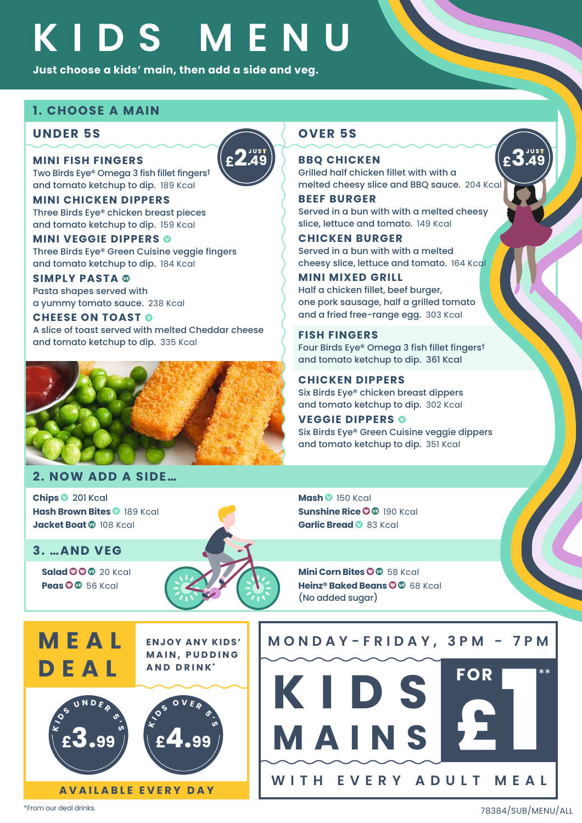# **KIDS MENU**

**£2.49 JUST**

Just choose a kids' main, then add a side and veg.<br>**I. CHOOSE A MAIN**<br>UNDER 5S

#### **1. CHOOSE A MAIN**

#### **UNDER 5S OVER 5S**

**MINI FISH FINGERS** Two Birds Eye® Omega 3 fish fillet fingers**†** and tomato ketchup to dip. 189 Kcal

**MINI CHICKEN DIPPERS** Three Birds Eye® chicken breast pieces and tomato ketchup to dip. 159 Kcal

#### **MINI VEGGIE DIPPERS**

Three Birds Eye® Green Cuisine veggie fingers and tomato ketchup to dip. 184 Kcal

**SIMPLY PASTA**  Pasta shapes served with a yummy tomato sauce. 238 Kcal

**CHEESE ON TOAST ©** A slice of toast served with melted Cheddar cheese

and tomato ketchup to dip. 335 Kcal



#### **2. NOW ADD A SIDE…**

**Chips** 201 Kcal **Hash Brown Bites © 189 Kcal Jacket Boat** 108 Kcal

**3. …AND VEG**

**DEAL**

**Salad** 20 Kcal **Peas** 56 Kcal



**Mash** 150 Kcal **Sunshine Rice O ® 190 Kcal Garlic Bread** 83 Kcal

**Mini Corn Bites O @ 58 Kcal Heinz® Baked Beans** 68 Kcal (No added sugar)

**KIDS** 

**WITH EVERY ADULT MEAL**

**KIDS**<br>MAINS<br>2

 $FOR$ 

**MONDAY-FRIDAY, 3PM - 7PM**

**ENJOY ANY KIDS' M A I N , P U D D I N G AND DRINK\* M E A L** 



**J UST**  $\left| \begin{matrix} 1 & 0 \\ 0 & 0 \end{matrix} \right|$  **J UST BBQ CHICKEN** Grilled half chicken fillet with with a melted cheesy slice and BBQ sauce. 204 Kcal

**£3.49**

**BEEF BURGER** Served in a bun with with a melted cheesy slice, lettuce and tomato. 149 Kcal

**CHICKEN BURGER** Served in a bun with with a melted cheesy slice, lettuce and tomato. 164 Kcal

#### **MINI MIXED GRILL**

Half a chicken fillet, beef burger, one pork sausage, half a grilled tomato and a fried free-range egg. 303 Kcal

**FISH FINGERS** Four Birds Eye® Omega 3 fish fillet fingers**†** and tomato ketchup to dip. 361 Kcal

**CHICKEN DIPPERS** Six Birds Eye® chicken breast dippers and tomato ketchup to dip. 302 Kcal

**VEGGIE DIPPERS**  Six Birds Eye® Green Cuisine veggie dippers and tomato ketchup to dip. 351 Kcal

\*From our deal drinks.

78384/SUB/MENU/ALL